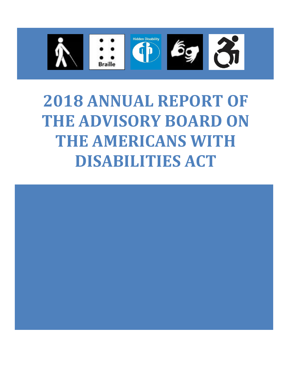

# **2018 ANNUAL REPORT OF THE ADVISORY BOARD ON THE AMERICANS WITH DISABILITIES ACT**

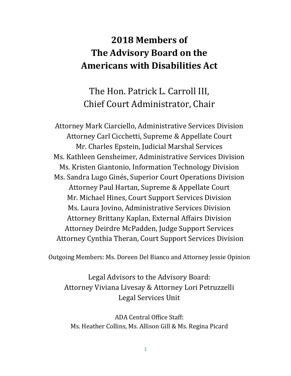## **2018 Members of The Advisory Board on the Americans with Disabilities Act**

The Hon. Patrick L. Carroll III, Chief Court Administrator, Chair

Attorney Mark Ciarciello, Administrative Services Division Attorney Carl Cicchetti, Supreme & Appellate Court Mr. Charles Epstein, Judicial Marshal Services Ms. Kathleen Gensheimer, Administrative Services Division Ms. Kristen Giantonio, Information Technology Division Ms. Sandra Lugo Ginés, Superior Court Operations Division Attorney Paul Hartan, Supreme & Appellate Court Mr. Michael Hines, Court Support Services Division Ms. Laura Jovino, Administrative Services Division Attorney Brittany Kaplan, External Affairs Division Attorney Deirdre McPadden, Judge Support Services Attorney Cynthia Theran, Court Support Services Division

Outgoing Members: Ms. Doreen Del Bianco and Attorney Jessie Opinion

Legal Advisors to the Advisory Board: Attorney Viviana Livesay & Attorney Lori Petruzzelli Legal Services Unit

ADA Central Office Staff: Ms. Heather Collins, Ms. Allison Gill & Ms. Regina Picard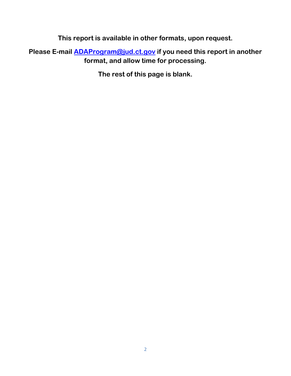**This report is available in other formats, upon request.**

**Please E-mail [ADAProgram@jud.ct.gov](mailto:ADAProgram@jud.ct.gov) if you need this report in another format, and allow time for processing.**

**The rest of this page is blank.**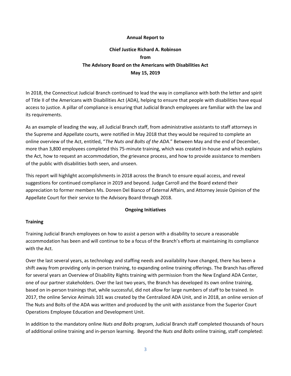#### **Annual Report to**

### **Chief Justice Richard A. Robinson from The Advisory Board on the Americans with Disabilities Act May 15, 2019**

In 2018, the Connecticut Judicial Branch continued to lead the way in compliance with both the letter and spirit of Title II of the Americans with Disabilities Act (ADA), helping to ensure that people with disabilities have equal access to justice. A pillar of compliance is ensuring that Judicial Branch employees are familiar with the law and its requirements.

As an example of leading the way, all Judicial Branch staff, from administrative assistants to staff attorneys in the Supreme and Appellate courts, were notified in May 2018 that they would be required to complete an online overview of the Act, entitled, "*The Nuts and Bolts of the ADA*." Between May and the end of December, more than 3,800 employees completed this 75-minute training, which was created in-house and which explains the Act, how to request an accommodation, the grievance process, and how to provide assistance to members of the public with disabilities both seen, and unseen.

This report will highlight accomplishments in 2018 across the Branch to ensure equal access, and reveal suggestions for continued compliance in 2019 and beyond. Judge Carroll and the Board extend their appreciation to former members Ms. Doreen Del Bianco of External Affairs, and Attorney Jessie Opinion of the Appellate Court for their service to the Advisory Board through 2018.

#### **Ongoing Initiatives**

#### **Training**

Training Judicial Branch employees on how to assist a person with a disability to secure a reasonable accommodation has been and will continue to be a focus of the Branch's efforts at maintaining its compliance with the Act.

Over the last several years, as technology and staffing needs and availability have changed, there has been a shift away from providing only in-person training, to expanding online training offerings. The Branch has offered for several years an Overview of Disability Rights training with permission from the New England ADA Center, one of our partner stakeholders. Over the last two years, the Branch has developed its own online training, based on in-person trainings that, while successful, did not allow for large numbers of staff to be trained. In 2017, the online Service Animals 101 was created by the Centralized ADA Unit, and in 2018, an online version of The Nuts and Bolts of the ADA was written and produced by the unit with assistance from the Superior Court Operations Employee Education and Development Unit.

In addition to the mandatory online *Nuts and Bolts* program, Judicial Branch staff completed thousands of hours of additional online training and in-person learning. Beyond the *Nuts and Bolts* online training, staff completed: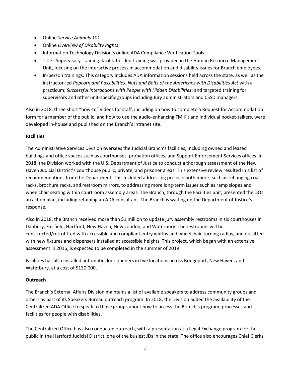- Online *Service Animals 101*
- Online *Overview of Disability Rights*
- Information Technology Division's online ADA Compliance Verification Tools
- Title I Supervisory Training: facilitator- led training was provided in the Human Resource Management Unit, focusing on the interactive process in accommodation and disability issues for Branch employees.
- In-person trainings. This category includes ADA information sessions held across the state, as well as the instructor-led *Popcorn and Possibilities*, *Nuts and Bolts of the Americans with Disabilities Act* with a practicum; *Successful Interactions with People with Hidden Disabilities*; and targeted training for supervisors and other unit-specific groups including Jury administrators and CSSD managers.

Also in 2018, three short "how-to" videos for staff, including on how to complete a Request for Accommodation form for a member of the public, and how to use the audio-enhancing FM Kit and individual pocket-talkers, were developed in-house and published on the Branch's intranet site.

#### **Facilities**

The Administrative Services Division oversees the Judicial Branch's facilities, including owned and leased buildings and office spaces such as courthouses, probation offices, and Support Enforcement Services offices. In 2018, the Division worked with the U.S. Department of Justice to conduct a thorough assessment of the New Haven Judicial District's courthouse public, private, and prisoner areas. This extensive review resulted in a list of recommendations from the Department. This included addressing projects both minor, such as rehanging coat racks, brochure racks, and restroom mirrors, to addressing more long-term issues such as ramp slopes and wheelchair seating within courtroom assembly areas. The Branch, through the Facilities unit, presented the DOJ an action plan, including retaining an ADA consultant. The Branch is waiting on the Department of Justice's response.

Also in 2018, the Branch received more than \$1 million to update jury assembly restrooms in six courthouses in Danbury, Fairfield, Hartford, New Haven, New London, and Waterbury. The restrooms will be constructed/retrofitted with accessible and compliant entry widths and wheelchair-turning radius, and outfitted with new fixtures and dispensers installed at accessible heights. This project, which began with an extensive assessment in 2016, is expected to be completed in the summer of 2019.

Facilities has also installed automatic door openers in five locations across Bridgeport, New Haven, and Waterbury, at a cost of \$130,000.

#### **Outreach**

The Branch's External Affairs Division maintains a list of available speakers to address community groups and others as part of its Speakers Bureau outreach program. In 2018, the Division added the availability of the Centralized ADA Office to speak to those groups about how to access the Branch's program, processes and facilities for people with disabilities.

The Centralized Office has also conducted outreach, with a presentation at a Legal Exchange program for the public in the Hartford Judicial District, one of the busiest JDs in the state. The office also encourages Chief Clerks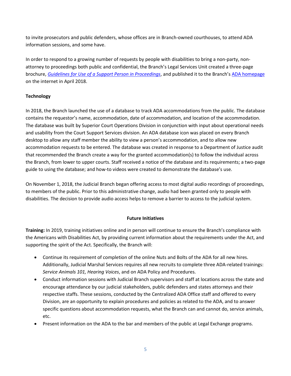to invite prosecutors and public defenders, whose offices are in Branch-owned courthouses, to attend ADA information sessions, and some have.

In order to respond to a growing number of requests by people with disabilities to bring a non-party, nonattorney to proceedings both public and confidential, the Branch's Legal Services Unit created a three-page brochure, *[Guidelines for Use of a Support Person in Proceedings](https://jud.ct.gov/ADA/FINAL_%20Support%20Person%20Guidelines.pdf)*, and published it to the Branch's [ADA homepage](https://jud.ct.gov/ADA/default.htm) on the internet in April 2018.

#### **Technology**

In 2018, the Branch launched the use of a database to track ADA accommodations from the public. The database contains the requestor's name, accommodation, date of accommodation, and location of the accommodation. The database was built by Superior Court Operations Division in conjunction with input about operational needs and usability from the Court Support Services division. An ADA database icon was placed on every Branch desktop to allow any staff member the ability to view a person's accommodation, and to allow new accommodation requests to be entered. The database was created in response to a Department of Justice audit that recommended the Branch create a way for the granted accommodation(s) to follow the individual across the Branch, from lower to upper courts. Staff received a notice of the database and its requirements; a two-page guide to using the database; and how-to videos were created to demonstrate the database's use.

On November 1, 2018, the Judicial Branch began offering access to most digital audio recordings of proceedings, to members of the public. Prior to this administrative change, audio had been granted only to people with disabilities. The decision to provide audio access helps to remove a barrier to access to the judicial system.

#### **Future Initiatives**

**Training:** In 2019, training initiatives online and in person will continue to ensure the Branch's compliance with the Americans with Disabilities Act, by providing current information about the requirements under the Act, and supporting the spirit of the Act. Specifically, the Branch will:

- Continue its requirement of completion of the online Nuts and Bolts of the ADA for all new hires. Additionally, Judicial Marshal Services requires all new recruits to complete three ADA-related trainings: *Service Animals 101, Hearing Voices*, and on ADA Policy and Procedures.
- Conduct information sessions with Judicial Branch supervisors and staff at locations across the state and encourage attendance by our judicial stakeholders, public defenders and states attorneys and their respective staffs. These sessions, conducted by the Centralized ADA Office staff and offered to every Division, are an opportunity to explain procedures and policies as related to the ADA, and to answer specific questions about accommodation requests, what the Branch can and cannot do, service animals, etc.
- Present information on the ADA to the bar and members of the public at Legal Exchange programs.